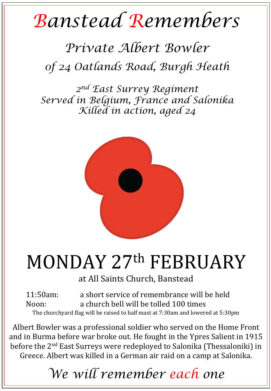## *Banstead Remembers*

## *Private Albert Bowler 0f 24 Oatlands Road, Burgh Heath*

*2nd East Surrey Regiment Served in Belgium, France and Salonika Killed in action, aged 24* 



## MONDAY 27th FEBRUARY

at All Saints Church, Banstead

11:50am: a short service of remembrance will be held Noon: a church bell will be tolled 100 times The churchyard flag will be raised to half mast at 7:30am and lowered at 5:30pm

Albert Bowler was a professional soldier who served on the Home Front and in Burma before war broke out. He fought in the Ypres Salient in 1915 before the 2<sup>nd</sup> East Surreys were redeployed to Salonika (Thessaloniki) in Greece. Albert was killed in a German air raid on a camp at Salonika.

*We will remember each one*